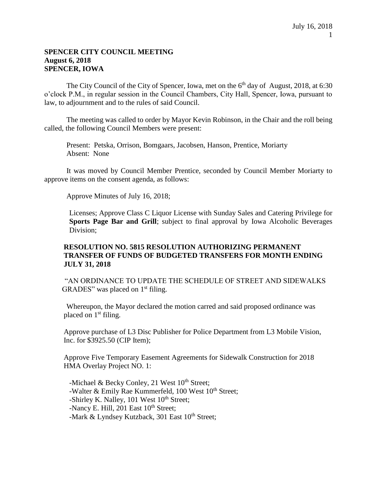### **SPENCER CITY COUNCIL MEETING August 6, 2018 SPENCER, IOWA**

The City Council of the City of Spencer, Iowa, met on the 6<sup>th</sup> day of August, 2018, at 6:30 o'clock P.M., in regular session in the Council Chambers, City Hall, Spencer, Iowa, pursuant to law, to adjournment and to the rules of said Council.

The meeting was called to order by Mayor Kevin Robinson, in the Chair and the roll being called, the following Council Members were present:

Present: Petska, Orrison, Bomgaars, Jacobsen, Hanson, Prentice, Moriarty Absent: None

It was moved by Council Member Prentice, seconded by Council Member Moriarty to approve items on the consent agenda, as follows:

Approve Minutes of July 16, 2018;

Licenses; Approve Class C Liquor License with Sunday Sales and Catering Privilege for **Sports Page Bar and Grill**; subject to final approval by Iowa Alcoholic Beverages Division;

### **RESOLUTION NO. 5815 RESOLUTION AUTHORIZING PERMANENT TRANSFER OF FUNDS OF BUDGETED TRANSFERS FOR MONTH ENDING JULY 31, 2018**

"AN ORDINANCE TO UPDATE THE SCHEDULE OF STREET AND SIDEWALKS GRADES" was placed on  $1<sup>st</sup>$  filing.

Whereupon, the Mayor declared the motion carred and said proposed ordinance was placed on  $1<sup>st</sup>$  filing.

Approve purchase of L3 Disc Publisher for Police Department from L3 Mobile Vision, Inc. for \$3925.50 (CIP Item);

Approve Five Temporary Easement Agreements for Sidewalk Construction for 2018 HMA Overlay Project NO. 1:

-Michael & Becky Conley, 21 West  $10^{th}$  Street; -Walter & Emily Rae Kummerfeld, 100 West  $10<sup>th</sup>$  Street; -Shirley K. Nalley,  $101$  West  $10<sup>th</sup>$  Street; -Nancy E. Hill,  $201$  East  $10<sup>th</sup>$  Street; -Mark & Lyndsey Kutzback, 301 East  $10^{th}$  Street;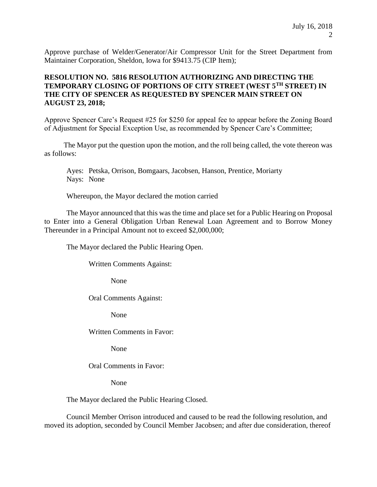Approve purchase of Welder/Generator/Air Compressor Unit for the Street Department from Maintainer Corporation, Sheldon, Iowa for \$9413.75 (CIP Item);

# **RESOLUTION NO. 5816 RESOLUTION AUTHORIZING AND DIRECTING THE TEMPORARY CLOSING OF PORTIONS OF CITY STREET (WEST 5TH STREET) IN THE CITY OF SPENCER AS REQUESTED BY SPENCER MAIN STREET ON AUGUST 23, 2018;**

Approve Spencer Care's Request #25 for \$250 for appeal fee to appear before the Zoning Board of Adjustment for Special Exception Use, as recommended by Spencer Care's Committee;

The Mayor put the question upon the motion, and the roll being called, the vote thereon was as follows:

Ayes: Petska, Orrison, Bomgaars, Jacobsen, Hanson, Prentice, Moriarty Nays: None

Whereupon, the Mayor declared the motion carried

The Mayor announced that this was the time and place set for a Public Hearing on Proposal to Enter into a General Obligation Urban Renewal Loan Agreement and to Borrow Money Thereunder in a Principal Amount not to exceed \$2,000,000;

The Mayor declared the Public Hearing Open.

Written Comments Against:

None

Oral Comments Against:

None

Written Comments in Favor:

None

Oral Comments in Favor:

None

The Mayor declared the Public Hearing Closed.

Council Member Orrison introduced and caused to be read the following resolution, and moved its adoption, seconded by Council Member Jacobsen; and after due consideration, thereof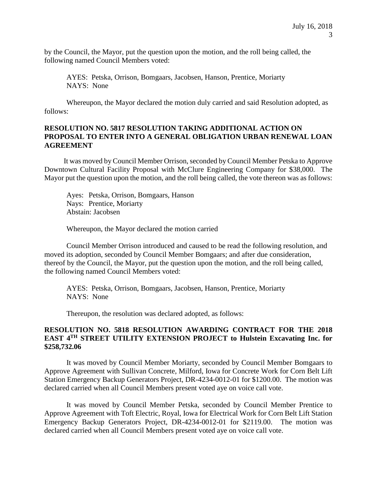by the Council, the Mayor, put the question upon the motion, and the roll being called, the following named Council Members voted:

AYES: Petska, Orrison, Bomgaars, Jacobsen, Hanson, Prentice, Moriarty NAYS: None

Whereupon, the Mayor declared the motion duly carried and said Resolution adopted, as follows:

### **RESOLUTION NO. 5817 RESOLUTION TAKING ADDITIONAL ACTION ON PROPOSAL TO ENTER INTO A GENERAL OBLIGATION URBAN RENEWAL LOAN AGREEMENT**

It was moved by Council Member Orrison, seconded by Council Member Petska to Approve Downtown Cultural Facility Proposal with McClure Engineering Company for \$38,000. The Mayor put the question upon the motion, and the roll being called, the vote thereon was as follows:

Ayes: Petska, Orrison, Bomgaars, Hanson Nays: Prentice, Moriarty Abstain: Jacobsen

Whereupon, the Mayor declared the motion carried

Council Member Orrison introduced and caused to be read the following resolution, and moved its adoption, seconded by Council Member Bomgaars; and after due consideration, thereof by the Council, the Mayor, put the question upon the motion, and the roll being called, the following named Council Members voted:

AYES: Petska, Orrison, Bomgaars, Jacobsen, Hanson, Prentice, Moriarty NAYS: None

Thereupon, the resolution was declared adopted, as follows:

## **RESOLUTION NO. 5818 RESOLUTION AWARDING CONTRACT FOR THE 2018 EAST 4TH STREET UTILITY EXTENSION PROJECT to Hulstein Excavating Inc. for \$258,732.06**

It was moved by Council Member Moriarty, seconded by Council Member Bomgaars to Approve Agreement with Sullivan Concrete, Milford, Iowa for Concrete Work for Corn Belt Lift Station Emergency Backup Generators Project, DR-4234-0012-01 for \$1200.00. The motion was declared carried when all Council Members present voted aye on voice call vote.

It was moved by Council Member Petska, seconded by Council Member Prentice to Approve Agreement with Toft Electric, Royal, Iowa for Electrical Work for Corn Belt Lift Station Emergency Backup Generators Project, DR-4234-0012-01 for \$2119.00. The motion was declared carried when all Council Members present voted aye on voice call vote.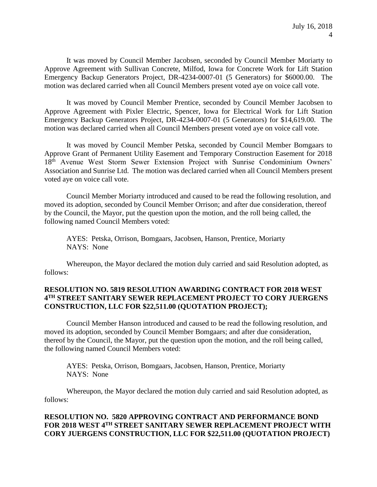It was moved by Council Member Jacobsen, seconded by Council Member Moriarty to Approve Agreement with Sullivan Concrete, Milfod, Iowa for Concrete Work for Lift Station Emergency Backup Generators Project, DR-4234-0007-01 (5 Generators) for \$6000.00. The motion was declared carried when all Council Members present voted aye on voice call vote.

It was moved by Council Member Prentice, seconded by Council Member Jacobsen to Approve Agreement with Pixler Electric, Spencer, Iowa for Electrical Work for Lift Station Emergency Backup Generators Project, DR-4234-0007-01 (5 Generators) for \$14,619.00. The motion was declared carried when all Council Members present voted aye on voice call vote.

It was moved by Council Member Petska, seconded by Council Member Bomgaars to Approve Grant of Permanent Utility Easement and Temporary Construction Easement for 2018 18<sup>th</sup> Avenue West Storm Sewer Extension Project with Sunrise Condominium Owners' Association and Sunrise Ltd. The motion was declared carried when all Council Members present voted aye on voice call vote.

Council Member Moriarty introduced and caused to be read the following resolution, and moved its adoption, seconded by Council Member Orrison; and after due consideration, thereof by the Council, the Mayor, put the question upon the motion, and the roll being called, the following named Council Members voted:

AYES: Petska, Orrison, Bomgaars, Jacobsen, Hanson, Prentice, Moriarty NAYS: None

Whereupon, the Mayor declared the motion duly carried and said Resolution adopted, as follows:

## **RESOLUTION NO. 5819 RESOLUTION AWARDING CONTRACT FOR 2018 WEST 4 TH STREET SANITARY SEWER REPLACEMENT PROJECT TO CORY JUERGENS CONSTRUCTION, LLC FOR \$22,511.00 (QUOTATION PROJECT);**

Council Member Hanson introduced and caused to be read the following resolution, and moved its adoption, seconded by Council Member Bomgaars; and after due consideration, thereof by the Council, the Mayor, put the question upon the motion, and the roll being called, the following named Council Members voted:

AYES: Petska, Orrison, Bomgaars, Jacobsen, Hanson, Prentice, Moriarty NAYS: None

Whereupon, the Mayor declared the motion duly carried and said Resolution adopted, as follows:

# **RESOLUTION NO. 5820 APPROVING CONTRACT AND PERFORMANCE BOND FOR 2018 WEST 4TH STREET SANITARY SEWER REPLACEMENT PROJECT WITH CORY JUERGENS CONSTRUCTION, LLC FOR \$22,511.00 (QUOTATION PROJECT)**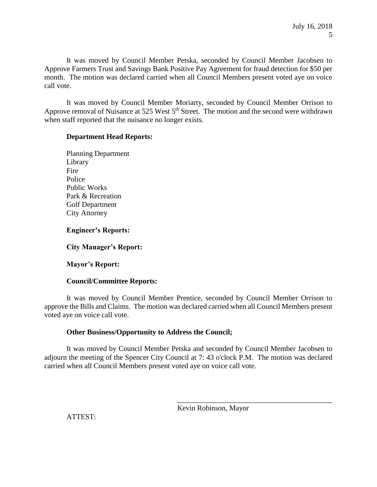It was moved by Council Member Petska, seconded by Council Member Jacobsen to Approve Farmers Trust and Savings Bank Positive Pay Agreement for fraud detection for \$50 per month. The motion was declared carried when all Council Members present voted aye on voice call vote.

It was moved by Council Member Moriarty, seconded by Council Member Orrison to Approve removal of Nuisance at 525 West  $5<sup>th</sup>$  Street. The motion and the second were withdrawn when staff reported that the nuisance no longer exists.

### **Department Head Reports:**

Planning Department Library Fire Police Public Works Park & Recreation Golf Department City Attorney

**Engineer's Reports:** 

**City Manager's Report:** 

# **Mayor's Report:**

### **Council/Committee Reports:**

It was moved by Council Member Prentice, seconded by Council Member Orrison to approve the Bills and Claims. The motion was declared carried when all Council Members present voted aye on voice call vote.

# **Other Business/Opportunity to Address the Council;**

It was moved by Council Member Petska and seconded by Council Member Jacobsen to adjourn the meeting of the Spencer City Council at 7: 43 o'clock P.M. The motion was declared carried when all Council Members present voted aye on voice call vote.

\_\_\_\_\_\_\_\_\_\_\_\_\_\_\_\_\_\_\_\_\_\_\_\_\_\_\_\_\_\_\_\_\_\_\_\_\_\_\_\_\_\_

ATTEST: